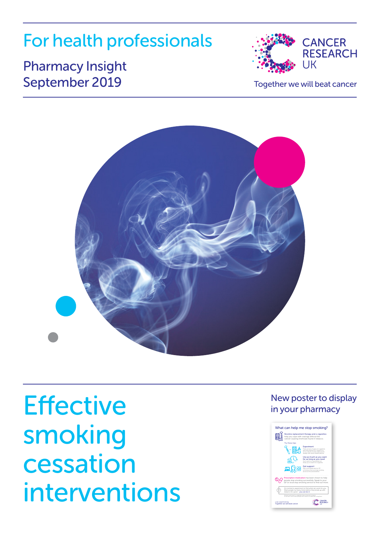## For health professionals

## Pharmacy Insight September 2019 Together we will beat cancer





**Effective** smoking cessation interventions

#### New poster to display in your pharmacy

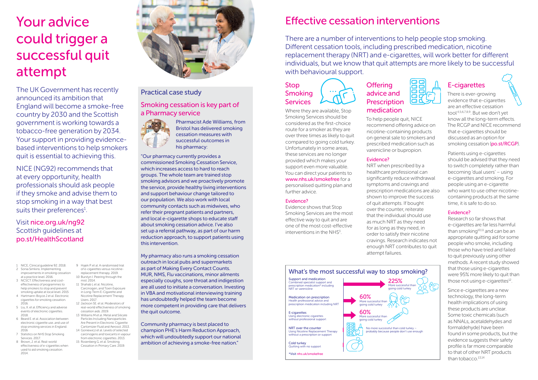## Your advice could trigger a successful quit attempt

The UK Government has recently announced its ambition that England will become a smoke-free country by 2030 and the Scottish government is working towards a tobacco-free generation by 2034. Your support in providing evidencebased interventions to help smokers quit is essential to achieving this.

NICE (NG92) recommends that at every opportunity, health professionals should ask people if they smoke and advise them to stop smoking in a way that best suits their preferences $^1$ .

> <span id="page-1-8"></span><span id="page-1-7"></span>9 Hajek P. et al. A randomised trial of e-cigarettes versus nicotinereplacement therapy. 2019. 10 Burstyn I. Peering through the mist.  $2014$ 11 Shahab Let al. Nicotine Carcinogen, and Toxin Exposure in Long-Term E-Cigarette and Nicotine Replacement Therapy

<span id="page-1-13"></span><span id="page-1-12"></span><span id="page-1-11"></span>Particles Including Nanoparticles Are Present in Electronic Cigarette Cartomizer Fluid and Aerosol. 2013. 14 Goniewicz et al. Levels of selected carcinogens and toxicants in vapour from electronic cigarettes. 2013. 15 Rosenberg G. et al. Smoking Cessation in Primary Care. 2019.

<span id="page-1-10"></span><span id="page-1-9"></span>Users. 2017. 12 Jackson SE. et al. Moderators of real-world effectiveness of smoking cessation aids. 2019.

### Visit [nice.org.uk/ng92](http://nice.org.uk/ng92) Scottish quidelines at [po.st/HealthScotland](http://po.st/HealthScotland)

- <span id="page-1-1"></span>1 NICE, Clinical guideline 92. 2018. 2 Sonia Simkins. Implementing
- improvements in smoking cessation at a practice level. 2016.
- <span id="page-1-0"></span>3 NCSCT. Effectiveness and costeffectiveness of programmes to help smokers to stop and prevent smoking uptake at local level. 2015
- <span id="page-1-2"></span>4 Hartmann-Boyce J et al. Electronic cigarettes for smoking cessation. 2016. 5 Liu, X. et al. Efficiency and adverse
- <span id="page-1-3"></span>events of electronic cigarettes. 2018. 6 Beard E. et al. Association between 13 Williams M et al. Metal and Silicate
- <span id="page-1-4"></span>electronic cigarette use..and use of stop smoking services in England. 2016 7 Statistics on NHS Stop Smoking
- <span id="page-1-5"></span>Services. 2017. 8 Brown, J. et al. Real-world
- <span id="page-1-6"></span>effectiveness of e-cigarettes when used to aid smoking cessation. 2014.



## Practical case study

#### Smoking cessation is key part of a Pharmacy service



Pharmacist Ade Williams, from Bristol has delivered smoking cessation measures with successful outcomes in his pharmacy:

"Our pharmacy currently provides a commissioned Smoking Cessation Service, which increases access to hard to reach groups. The whole team are trained stop smoking advisors and we proactively promote the service, provide healthy living interventions and support behaviour change tailored to our population. We also work with local community contacts such as midwives, who refer their pregnant patients and partners, and local e-cigarette shops to educate staff about smoking cessation advice. I've also set up a referral pathway, as part of our harm reduction approach, to support patients using this intervention.

My pharmacy also runs a smoking cessation outreach in local pubs and supermarkets as part of Making Every Contact Counts. MUR, NMS, Flu vaccinations, minor ailments especially coughs, sore throat and indigestion are all used to initiate a conversation. Investing in VBA and motivational interviewing training has undoubtedly helped the team become more competent in providing care that delivers the quit outcome.

Community pharmacy is best placed to champion PHE's Harm Reduction Approach, which will undoubtedly support our national ambition of achieving a smoke-free nation."

## Effective cessation interventions

There are a number of interventions to help people stop smoking. Different cessation tools, including prescribed medication, nicotine replacement therapy (NRT) and e-cigarettes, will work better for different individuals, but we know that quit attempts are more likely to be successful with behavioural support.

To help people quit, NICE recommend offering advice on nicotine-containing products on general sale to smokers and prescribed medication such as varenicline or bupropion.

NRT when prescribed by a healthcare professional can significantly reduce withdrawal symptoms and cravings and prescription medications are also shown to improve the success of quit attempts. If bought over the counter, reiterate that the individual should use as much NRT as they need for as long as they need, in order to satisfy their nicotine cravings. Research indicates not enough NRT contributes to quit

**Offering** advice and **Prescription** medication

Evidence?

### Stop Smoking **Services**

Where they are available, Stop Smoking Services should be considered as the first-choice route for a smoker as they are over three times as likely to quit compared to going cold turkey. Unfortunately in some areas, these services are no longer provided which makes your support even more valuable. You can direct your patients to [www.nhs.uk/smokefree](http://www.nhs.uk/smokefree) for a personalised quitting plan and further advice.

#### Evidence?

Smoking Services are the most effective way to quit and are one of the most cost-effective interventions in the NHS<sup>[3](#page-1-0)</sup>.



## E-cigarettes

There is ever-growing evidence that e-cigarettes are an effective cessation tool [4](#page-1-2)[,5,](#page-1-3)[6](#page-1-4),[7,](#page-1-5)[8,](#page-1-6)[9](#page-1-7). But we don't yet know all the long-term effects. The RCGP and NICE recommend that e-cigarettes should be discussed as an option for smoking cessation ([po.st/RCGP](http://po.st/RCGP)).

Patients using e-cigarettes should be advised that they need to switch completely rather than becoming 'dual users' – using e-cigarettes and smoking. For people using an e-cigarette who want to use other nicotinecontaining products at the same time, it is safe to do so.

#### Evidence?

Research so far shows that e-cigarettes are far less harmful than smoking $10,11$  $10,11$  and can be an appropriate quitting aid for some people who smoke, including those who have tried and failed to quit previously using other methods. A recent study showed that those using e-cigarettes were 95% more likely to quit than those not using e-cigarettes $^{12}$  $^{12}$  $^{12}$ .

Since e-cigarettes are a new technology, the long-term health implications of using these products are unclear. Some toxic chemicals (such as NNALs, acetaldehydes and formaldehyde) have been found in some products, but the evidence suggests their safety profile is far more comparable to that of other NRT products than tobacco. $13,14$  $13,14$ 

Evidence shows that Stop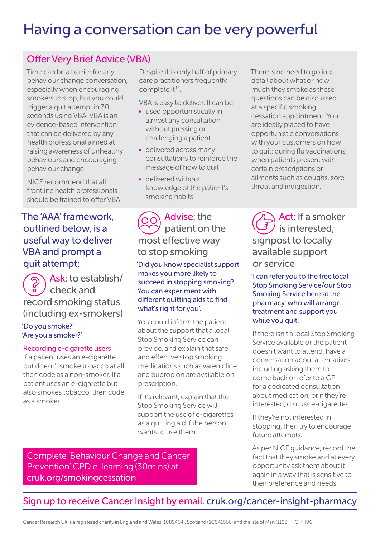## Having a conversation can be very powerful

### Offer Very Brief Advice (VBA)

Time can be a barrier for any behaviour change conversation, especially when encouraging smokers to stop, but you could trigger a quit attempt in 30 seconds using VBA. VBA is an evidence-based intervention that can be delivered by any health professional aimed at raising awareness of unhealthy behaviours and encouraging behaviour change.

NICE recommend that all frontline health professionals should be trained to offer VBA.

### The 'AAA' framework, outlined below, is a useful way to deliver VBA and prompt a quit attempt:

Ask: to establish/ check and record smoking status (including ex-smokers)

'Do you smoke?' 'Are you a smoker?'

#### Recording e-cigarette users

If a patient uses an e-cigarette but doesn't smoke tobacco at all, then code as a non-smoker. If a patient uses an e-cigarette but also smokes tobacco, then code as a smoker.

Despite this only half of primary care practitioners frequently complete it<sup>[15](#page-1-13)</sup>.

VBA is easy to deliver. It can be:

- used opportunistically in almost any consultation without pressing or challenging a patient
- delivered across many consultations to reinforce the message of how to quit
- delivered without knowledge of the patient's smoking habits

### Advise: the patient on the most effective way to stop smoking

'Did you know specialist support makes you more likely to succeed in stopping smoking? You can experiment with different quitting aids to find what's right for you'.

You could inform the patient about the support that a local Stop Smoking Service can provide, and explain that safe and effective stop smoking medications such as varenicline and bupropion are available on prescription.

If it's relevant, explain that the Stop Smoking Service will support the use of e-cigarettes as a quitting aid if the person wants to use them.

Complete 'Behaviour Change and Cancer Prevention' CPD e-learning (30mins) at [cruk.org/smokingcessation](http://cruk.org/smokingcessation)

There is no need to go into detail about what or how much they smoke as these questions can be discussed at a specific smoking cessation appointment. You are ideally placed to have opportunistic conversations with your customers on how to quit; during flu vaccinations, when patients present with certain prescriptions or ailments such as coughs, sore throat and indigestion.

Act: If a smoker is interested; signpost to locally available support or service

'I can refer you to the free local Stop Smoking Service/our Stop Smoking Service here at the pharmacy, who will arrange treatment and support you while you quit.'

If there isn't a local Stop Smoking Service available or the patient doesn't want to attend, have a conversation about alternatives including asking them to come back or refer to a GP for a dedicated consultation about medication, or if they're interested, discuss e-cigarettes.

If they're not interested in stopping, then try to encourage future attempts.

As per NICE guidance, record the fact that they smoke and at every opportunity ask them about it again in a way that is sensitive to their preference and needs.

## Sign up to receive Cancer Insight by email. [cruk.org/cancer-insight-pharmacy](http://cruk.org/cancer-insight-pharmacy)